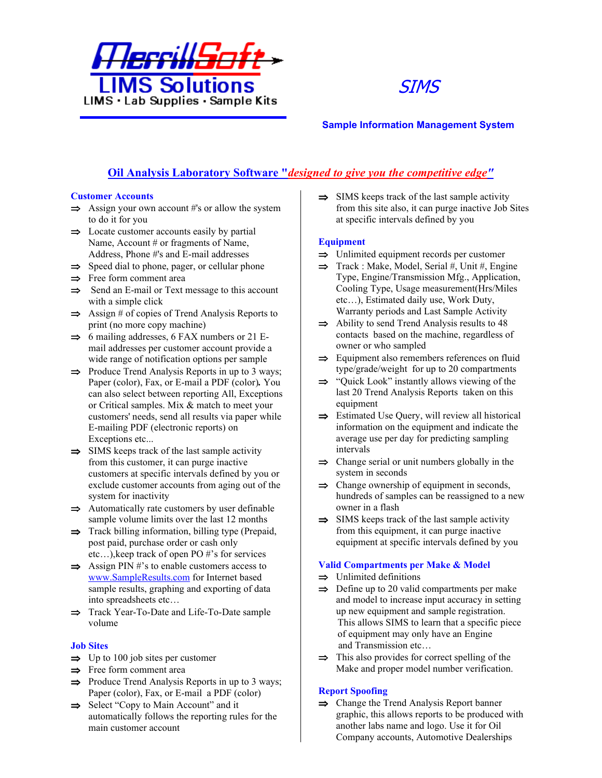



# **Sample Information Management System**

# **Oil Analysis Laboratory Software "***designed to give you the competitive edge"*

## **Customer Accounts**

- $\Rightarrow$  Assign your own account #'s or allow the system to do it for you
- $\Rightarrow$  Locate customer accounts easily by partial Name, Account # or fragments of Name, Address, Phone #'s and E-mail addresses
- $\Rightarrow$  Speed dial to phone, pager, or cellular phone
- $\Rightarrow$  Free form comment area
- $\Rightarrow$  Send an E-mail or Text message to this account with a simple click
- $\Rightarrow$  Assign # of copies of Trend Analysis Reports to print (no more copy machine)
- $\Rightarrow$  6 mailing addresses, 6 FAX numbers or 21 Email addresses per customer account provide a wide range of notification options per sample
- $\Rightarrow$  Produce Trend Analysis Reports in up to 3 ways; Paper (color), Fax, or E-mail a PDF (color)*.* You can also select between reporting All, Exceptions or Critical samples. Mix & match to meet your customers' needs, send all results via paper while E-mailing PDF (electronic reports) on Exceptions etc...
- $\Rightarrow$  SIMS keeps track of the last sample activity from this customer, it can purge inactive customers at specific intervals defined by you or exclude customer accounts from aging out of the system for inactivity
- $\Rightarrow$  Automatically rate customers by user definable sample volume limits over the last 12 months
- $\Rightarrow$  Track billing information, billing type (Prepaid, post paid, purchase order or cash only etc…),keep track of open PO #'s for services
- $\Rightarrow$  Assign PIN #'s to enable customers access to www.SampleResults.com for Internet based sample results, graphing and exporting of data into spreadsheets etc…
- $\Rightarrow$  Track Year-To-Date and Life-To-Date sample volume

# **Job Sites**

- $\Rightarrow$  Up to 100 job sites per customer
- $\Rightarrow$  Free form comment area
- $\Rightarrow$  Produce Trend Analysis Reports in up to 3 ways; Paper (color), Fax, or E-mail a PDF (color)
- $\Rightarrow$  Select "Copy to Main Account" and it automatically follows the reporting rules for the main customer account

 $\Rightarrow$  SIMS keeps track of the last sample activity from this site also, it can purge inactive Job Sites at specific intervals defined by you

# **Equipment**

- $\Rightarrow$  Unlimited equipment records per customer
- $\Rightarrow$  Track : Make, Model, Serial #, Unit #, Engine Type, Engine/Transmission Mfg., Application, Cooling Type, Usage measurement(Hrs/Miles etc…), Estimated daily use, Work Duty, Warranty periods and Last Sample Activity
- $\implies$  Ability to send Trend Analysis results to 48 contacts based on the machine, regardless of owner or who sampled
- $\Rightarrow$  Equipment also remembers references on fluid type/grade/weight for up to 20 compartments
- $\Rightarrow$  "Ouick Look" instantly allows viewing of the last 20 Trend Analysis Reports taken on this equipment
- $\Rightarrow$  Estimated Use Query, will review all historical information on the equipment and indicate the average use per day for predicting sampling intervals
- $\Rightarrow$  Change serial or unit numbers globally in the system in seconds
- $\Rightarrow$  Change ownership of equipment in seconds, hundreds of samples can be reassigned to a new owner in a flash
- $\Rightarrow$  SIMS keeps track of the last sample activity from this equipment, it can purge inactive equipment at specific intervals defined by you

# **Valid Compartments per Make & Model**

- $\Rightarrow$  Unlimited definitions
- $\Rightarrow$  Define up to 20 valid compartments per make and model to increase input accuracy in setting up new equipment and sample registration. This allows SIMS to learn that a specific piece of equipment may only have an Engine and Transmission etc…
- $\Rightarrow$  This also provides for correct spelling of the Make and proper model number verification.

# **Report Spoofing**

 $\Rightarrow$  Change the Trend Analysis Report banner graphic, this allows reports to be produced with another labs name and logo. Use it for Oil Company accounts, Automotive Dealerships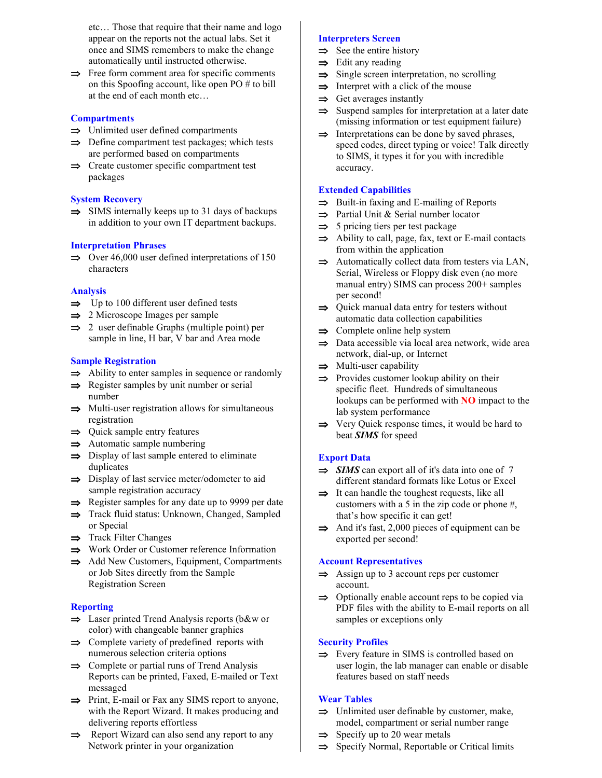etc… Those that require that their name and logo appear on the reports not the actual labs. Set it once and SIMS remembers to make the change automatically until instructed otherwise.

 $\Rightarrow$  Free form comment area for specific comments on this Spoofing account, like open PO # to bill at the end of each month etc…

## **Compartments**

- $\Rightarrow$  Unlimited user defined compartments
- $\Rightarrow$  Define compartment test packages; which tests are performed based on compartments
- $\Rightarrow$  Create customer specific compartment test packages

#### **System Recovery**

 $\Rightarrow$  SIMS internally keeps up to 31 days of backups in addition to your own IT department backups.

#### **Interpretation Phrases**

 $\implies$  Over 46,000 user defined interpretations of 150 characters

#### **Analysis**

- $\Rightarrow$  Up to 100 different user defined tests
- $\Rightarrow$  2 Microscope Images per sample
- $\Rightarrow$  2 user definable Graphs (multiple point) per sample in line, H bar, V bar and Area mode

## **Sample Registration**

- $\Rightarrow$  Ability to enter samples in sequence or randomly
- $\Rightarrow$  Register samples by unit number or serial number
- $\Rightarrow$  Multi-user registration allows for simultaneous registration
- $\Rightarrow$  Quick sample entry features
- $\Rightarrow$  Automatic sample numbering
- $\Rightarrow$  Display of last sample entered to eliminate duplicates
- $\Rightarrow$  Display of last service meter/odometer to aid sample registration accuracy
- $\Rightarrow$  Register samples for any date up to 9999 per date
- $\Rightarrow$  Track fluid status: Unknown, Changed, Sampled or Special
- $\Rightarrow$  Track Filter Changes
- $\Rightarrow$  Work Order or Customer reference Information
- $\Rightarrow$  Add New Customers, Equipment, Compartments or Job Sites directly from the Sample Registration Screen

## **Reporting**

- $\Rightarrow$  Laser printed Trend Analysis reports (b&w or color) with changeable banner graphics
- $\Rightarrow$  Complete variety of predefined reports with numerous selection criteria options
- $\Rightarrow$  Complete or partial runs of Trend Analysis Reports can be printed, Faxed, E-mailed or Text messaged
- $\Rightarrow$  Print, E-mail or Fax any SIMS report to anyone, with the Report Wizard. It makes producing and delivering reports effortless
- $\Rightarrow$  Report Wizard can also send any report to any Network printer in your organization

## **Interpreters Screen**

- $\Rightarrow$  See the entire history
- $\Rightarrow$  Edit any reading
- $\Rightarrow$  Single screen interpretation, no scrolling
- $\Rightarrow$  Interpret with a click of the mouse
- $\Rightarrow$  Get averages instantly
- $\Rightarrow$  Suspend samples for interpretation at a later date (missing information or test equipment failure)
- $\Rightarrow$  Interpretations can be done by saved phrases, speed codes, direct typing or voice! Talk directly to SIMS, it types it for you with incredible accuracy.

## **Extended Capabilities**

- $\Rightarrow$  Built-in faxing and E-mailing of Reports
- $\Rightarrow$  Partial Unit & Serial number locator
- $\Rightarrow$  5 pricing tiers per test package
- $\Rightarrow$  Ability to call, page, fax, text or E-mail contacts from within the application
- $\Rightarrow$  Automatically collect data from testers via LAN, Serial, Wireless or Floppy disk even (no more manual entry) SIMS can process 200+ samples per second!
- $\Rightarrow$  Quick manual data entry for testers without automatic data collection capabilities
- $\Rightarrow$  Complete online help system
- $\Rightarrow$  Data accessible via local area network, wide area network, dial-up, or Internet
- $\Rightarrow$  Multi-user capability
- $\Rightarrow$  Provides customer lookup ability on their specific fleet. Hundreds of simultaneous lookups can be performed with **NO** impact to the lab system performance
- $\Rightarrow$  Very Quick response times, it would be hard to beat *SIMS* for speed

## **Export Data**

- $\Rightarrow$  **SIMS** can export all of it's data into one of 7 different standard formats like Lotus or Excel
- $\Rightarrow$  It can handle the toughest requests, like all customers with a 5 in the zip code or phone #, that's how specific it can get!
- $\implies$  And it's fast, 2,000 pieces of equipment can be exported per second!

## **Account Representatives**

- $\implies$  Assign up to 3 account reps per customer account.
- $\Rightarrow$  Optionally enable account reps to be copied via PDF files with the ability to E-mail reports on all samples or exceptions only

## **Security Profiles**

 $\Rightarrow$  Every feature in SIMS is controlled based on user login, the lab manager can enable or disable features based on staff needs

#### **Wear Tables**

- $\Rightarrow$  Unlimited user definable by customer, make, model, compartment or serial number range
- $\Rightarrow$  Specify up to 20 wear metals
- $\Rightarrow$  Specify Normal, Reportable or Critical limits